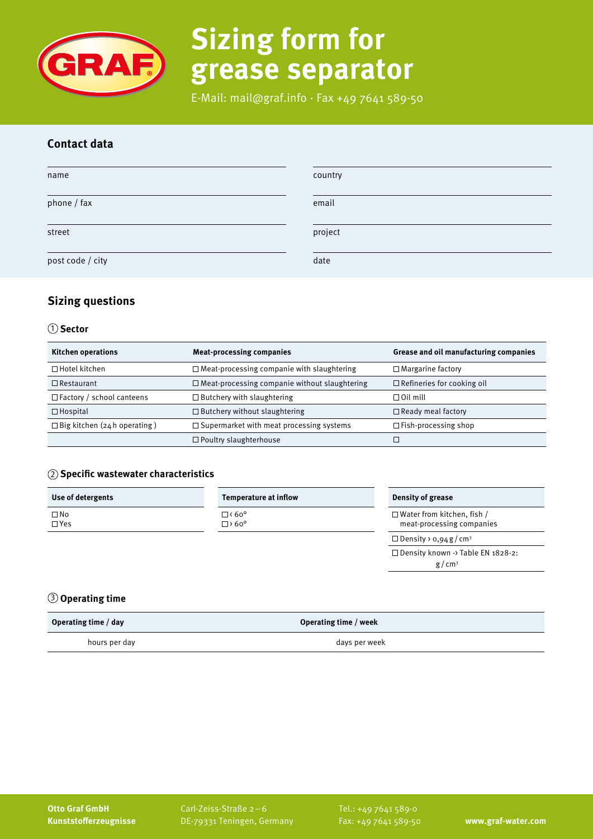

# **Sizing form for grease separator**

E-Mail: mail@graf.info ∙ Fax +49 7641 589-50

## **Contact data**

| name             | country |
|------------------|---------|
| phone / fax      | email   |
| street           | project |
| post code / city | date    |

## **Sizing questions**

### 1 **Sector**

| <b>Kitchen operations</b>          | <b>Meat-processing companies</b>                     | Grease and oil manufacturing companies |
|------------------------------------|------------------------------------------------------|----------------------------------------|
| $\Box$ Hotel kitchen               | $\Box$ Meat-processing companie with slaughtering    | $\Box$ Margarine factory               |
| $\Box$ Restaurant                  | $\Box$ Meat-processing companie without slaughtering | $\Box$ Refineries for cooking oil      |
| $\Box$ Factory / school canteens   | $\Box$ Butchery with slaughtering                    | $\Box$ Oil mill                        |
| $\Box$ Hospital                    | $\Box$ Butchery without slaughtering                 | $\Box$ Ready meal factory              |
| $\Box$ Big kitchen (24h operating) | $\Box$ Supermarket with meat processing systems      | $\Box$ Fish-processing shop            |
|                                    | $\Box$ Poultry slaughterhouse                        |                                        |

### 2 **Specific wastewater characteristics**

| Use of detergents          | Temperature at inflow           | Density of grease                                              |
|----------------------------|---------------------------------|----------------------------------------------------------------|
| $\square$ No<br>$\Box$ Yes | $\square$ < 60°<br>$\Box$ > 60° | $\Box$ Water from kitchen, fish /<br>meat-processing companies |
|                            |                                 | $\Box$ Density > 0,94 g / cm <sup>3</sup>                      |
|                            |                                 | $\Box$ Density known -> Table EN 1828-2:                       |

 $g/cm^3$ 

## 3 **Operating time**

| Operating time / day | Operating time / week |
|----------------------|-----------------------|
| hours per day        | days per week         |